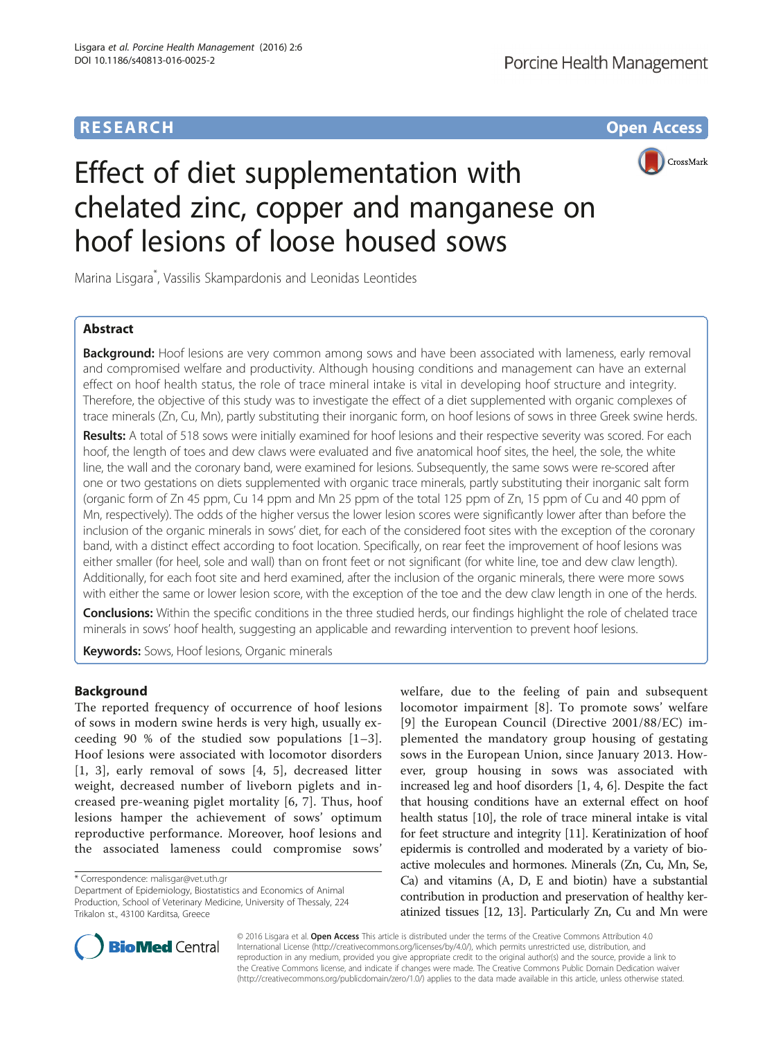## RESEARCH Open Access



# Effect of diet supplementation with chelated zinc, copper and manganese on hoof lesions of loose housed sows

Μarina Lisgara\* , Vassilis Skampardonis and Leonidas Leontides

## Abstract

Background: Hoof lesions are very common among sows and have been associated with lameness, early removal and compromised welfare and productivity. Although housing conditions and management can have an external effect on hoof health status, the role of trace mineral intake is vital in developing hoof structure and integrity. Therefore, the objective of this study was to investigate the effect of a diet supplemented with organic complexes of trace minerals (Zn, Cu, Mn), partly substituting their inorganic form, on hoof lesions of sows in three Greek swine herds.

Results: A total of 518 sows were initially examined for hoof lesions and their respective severity was scored. For each hoof, the length of toes and dew claws were evaluated and five anatomical hoof sites, the heel, the sole, the white line, the wall and the coronary band, were examined for lesions. Subsequently, the same sows were re-scored after one or two gestations on diets supplemented with organic trace minerals, partly substituting their inorganic salt form (organic form of Zn 45 ppm, Cu 14 ppm and Mn 25 ppm of the total 125 ppm of Zn, 15 ppm of Cu and 40 ppm of Mn, respectively). The odds of the higher versus the lower lesion scores were significantly lower after than before the inclusion of the organic minerals in sows' diet, for each of the considered foot sites with the exception of the coronary band, with a distinct effect according to foot location. Specifically, on rear feet the improvement of hoof lesions was either smaller (for heel, sole and wall) than on front feet or not significant (for white line, toe and dew claw length). Additionally, for each foot site and herd examined, after the inclusion of the organic minerals, there were more sows with either the same or lower lesion score, with the exception of the toe and the dew claw length in one of the herds.

Conclusions: Within the specific conditions in the three studied herds, our findings highlight the role of chelated trace minerals in sows' hoof health, suggesting an applicable and rewarding intervention to prevent hoof lesions.

Keywords: Sows, Hoof lesions, Organic minerals

### Background

The reported frequency of occurrence of hoof lesions of sows in modern swine herds is very high, usually exceeding 90 % of the studied sow populations [[1](#page-7-0)–[3](#page-7-0)]. Hoof lesions were associated with locomotor disorders [[1](#page-7-0), [3\]](#page-7-0), early removal of sows [[4](#page-7-0), [5\]](#page-7-0), decreased litter weight, decreased number of liveborn piglets and increased pre-weaning piglet mortality [\[6, 7](#page-7-0)]. Thus, hoof lesions hamper the achievement of sows' optimum reproductive performance. Moreover, hoof lesions and the associated lameness could compromise sows'

\* Correspondence: [malisgar@vet.uth.gr](mailto:malisgar@vet.uth.gr)

Department of Epidemiology, Biostatistics and Economics of Animal Production, School of Veterinary Medicine, University of Thessaly, 224 Trikalon st., 43100 Karditsa, Greece

welfare, due to the feeling of pain and subsequent locomotor impairment [[8\]](#page-7-0). To promote sows' welfare [[9](#page-7-0)] the European Council (Directive 2001/88/EC) implemented the mandatory group housing of gestating sows in the European Union, since January 2013. However, group housing in sows was associated with increased leg and hoof disorders [[1, 4, 6\]](#page-7-0). Despite the fact that housing conditions have an external effect on hoof health status [\[10](#page-7-0)], the role of trace mineral intake is vital for feet structure and integrity [[11](#page-7-0)]. Keratinization of hoof epidermis is controlled and moderated by a variety of bioactive molecules and hormones. Minerals (Zn, Cu, Mn, Se, Ca) and vitamins (A, D, E and biotin) have a substantial contribution in production and preservation of healthy keratinized tissues [\[12](#page-7-0), [13](#page-7-0)]. Particularly Zn, Cu and Mn were



© 2016 Lisgara et al. Open Access This article is distributed under the terms of the Creative Commons Attribution 4.0 International License [\(http://creativecommons.org/licenses/by/4.0/](http://creativecommons.org/licenses/by/4.0/)), which permits unrestricted use, distribution, and reproduction in any medium, provided you give appropriate credit to the original author(s) and the source, provide a link to the Creative Commons license, and indicate if changes were made. The Creative Commons Public Domain Dedication waiver [\(http://creativecommons.org/publicdomain/zero/1.0/](http://creativecommons.org/publicdomain/zero/1.0/)) applies to the data made available in this article, unless otherwise stated.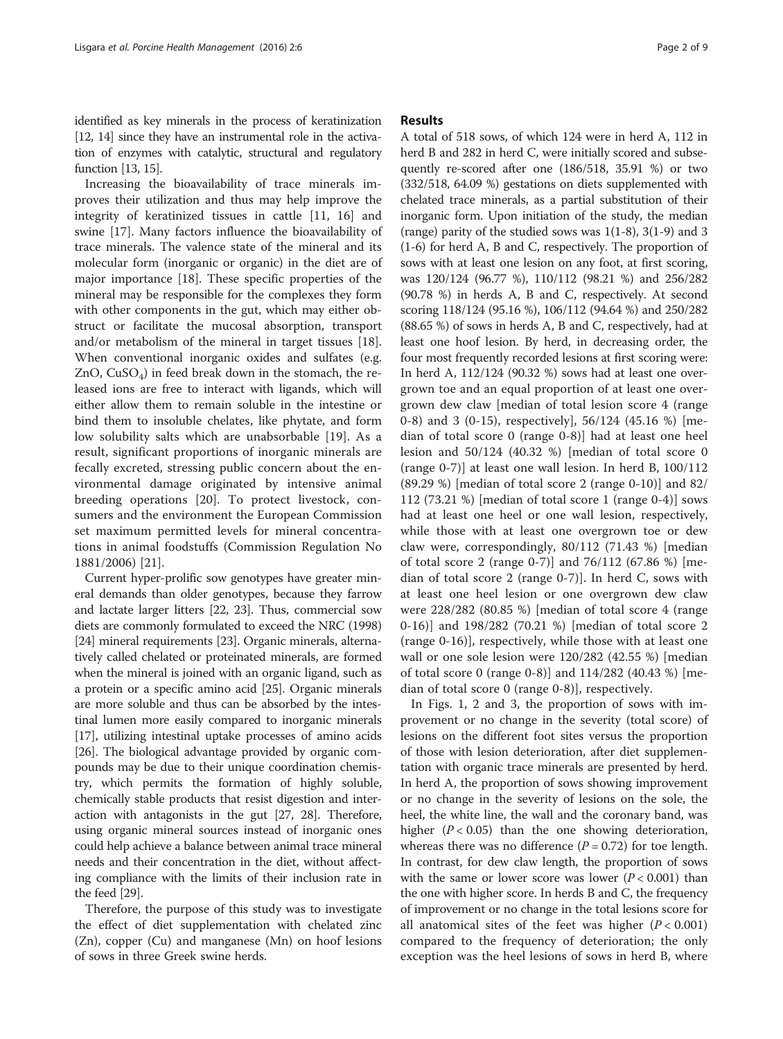identified as key minerals in the process of keratinization [[12](#page-7-0), [14\]](#page-7-0) since they have an instrumental role in the activation of enzymes with catalytic, structural and regulatory function [\[13](#page-7-0), [15\]](#page-7-0).

Increasing the bioavailability of trace minerals improves their utilization and thus may help improve the integrity of keratinized tissues in cattle [[11, 16\]](#page-7-0) and swine [[17\]](#page-7-0). Many factors influence the bioavailability of trace minerals. The valence state of the mineral and its molecular form (inorganic or organic) in the diet are of major importance [\[18](#page-7-0)]. These specific properties of the mineral may be responsible for the complexes they form with other components in the gut, which may either obstruct or facilitate the mucosal absorption, transport and/or metabolism of the mineral in target tissues [\[18](#page-7-0)]. When conventional inorganic oxides and sulfates (e.g.  $ZnO$ ,  $CuSO<sub>4</sub>$ ) in feed break down in the stomach, the released ions are free to interact with ligands, which will either allow them to remain soluble in the intestine or bind them to insoluble chelates, like phytate, and form low solubility salts which are unabsorbable [[19\]](#page-7-0). As a result, significant proportions of inorganic minerals are fecally excreted, stressing public concern about the environmental damage originated by intensive animal breeding operations [[20\]](#page-7-0). To protect livestock, consumers and the environment the European Commission set maximum permitted levels for mineral concentrations in animal foodstuffs (Commission Regulation No 1881/2006) [[21\]](#page-7-0).

Current hyper-prolific sow genotypes have greater mineral demands than older genotypes, because they farrow and lactate larger litters [\[22, 23\]](#page-7-0). Thus, commercial sow diets are commonly formulated to exceed the NRC (1998) [[24](#page-7-0)] mineral requirements [[23](#page-7-0)]. Organic minerals, alternatively called chelated or proteinated minerals, are formed when the mineral is joined with an organic ligand, such as a protein or a specific amino acid [\[25\]](#page-7-0). Organic minerals are more soluble and thus can be absorbed by the intestinal lumen more easily compared to inorganic minerals [[17](#page-7-0)], utilizing intestinal uptake processes of amino acids [[26](#page-7-0)]. The biological advantage provided by organic compounds may be due to their unique coordination chemistry, which permits the formation of highly soluble, chemically stable products that resist digestion and interaction with antagonists in the gut [[27](#page-7-0), [28\]](#page--1-0). Therefore, using organic mineral sources instead of inorganic ones could help achieve a balance between animal trace mineral needs and their concentration in the diet, without affecting compliance with the limits of their inclusion rate in the feed [\[29\]](#page--1-0).

Therefore, the purpose of this study was to investigate the effect of diet supplementation with chelated zinc (Zn), copper (Cu) and manganese (Mn) on hoof lesions of sows in three Greek swine herds.

#### Results

A total of 518 sows, of which 124 were in herd A, 112 in herd B and 282 in herd C, were initially scored and subsequently re-scored after one (186/518, 35.91 %) or two (332/518, 64.09 %) gestations on diets supplemented with chelated trace minerals, as a partial substitution of their inorganic form. Upon initiation of the study, the median (range) parity of the studied sows was 1(1-8), 3(1-9) and 3 (1-6) for herd A, B and C, respectively. The proportion of sows with at least one lesion on any foot, at first scoring, was 120/124 (96.77 %), 110/112 (98.21 %) and 256/282 (90.78 %) in herds A, B and C, respectively. At second scoring 118/124 (95.16 %), 106/112 (94.64 %) and 250/282 (88.65 %) of sows in herds A, B and C, respectively, had at least one hoof lesion. By herd, in decreasing order, the four most frequently recorded lesions at first scoring were: In herd A, 112/124 (90.32 %) sows had at least one overgrown toe and an equal proportion of at least one overgrown dew claw [median of total lesion score 4 (range 0-8) and 3 (0-15), respectively], 56/124 (45.16 %) [median of total score 0 (range 0-8)] had at least one heel lesion and 50/124 (40.32 %) [median of total score 0 (range 0-7)] at least one wall lesion. In herd B, 100/112 (89.29 %) [median of total score 2 (range 0-10)] and 82/ 112 (73.21 %) [median of total score 1 (range 0-4)] sows had at least one heel or one wall lesion, respectively, while those with at least one overgrown toe or dew claw were, correspondingly, 80/112 (71.43 %) [median of total score 2 (range 0-7)] and 76/112 (67.86 %) [median of total score 2 (range 0-7)]. In herd C, sows with at least one heel lesion or one overgrown dew claw were 228/282 (80.85 %) [median of total score 4 (range 0-16)] and 198/282 (70.21 %) [median of total score 2 (range 0-16)], respectively, while those with at least one wall or one sole lesion were 120/282 (42.55 %) [median of total score 0 (range 0-8)] and 114/282 (40.43 %) [median of total score 0 (range 0-8)], respectively.

In Figs. [1](#page-2-0), [2](#page-2-0) and [3](#page-3-0), the proportion of sows with improvement or no change in the severity (total score) of lesions on the different foot sites versus the proportion of those with lesion deterioration, after diet supplementation with organic trace minerals are presented by herd. In herd A, the proportion of sows showing improvement or no change in the severity of lesions on the sole, the heel, the white line, the wall and the coronary band, was higher  $(P < 0.05)$  than the one showing deterioration, whereas there was no difference  $(P = 0.72)$  for toe length. In contrast, for dew claw length, the proportion of sows with the same or lower score was lower  $(P < 0.001)$  than the one with higher score. In herds B and C, the frequency of improvement or no change in the total lesions score for all anatomical sites of the feet was higher  $(P < 0.001)$ compared to the frequency of deterioration; the only exception was the heel lesions of sows in herd B, where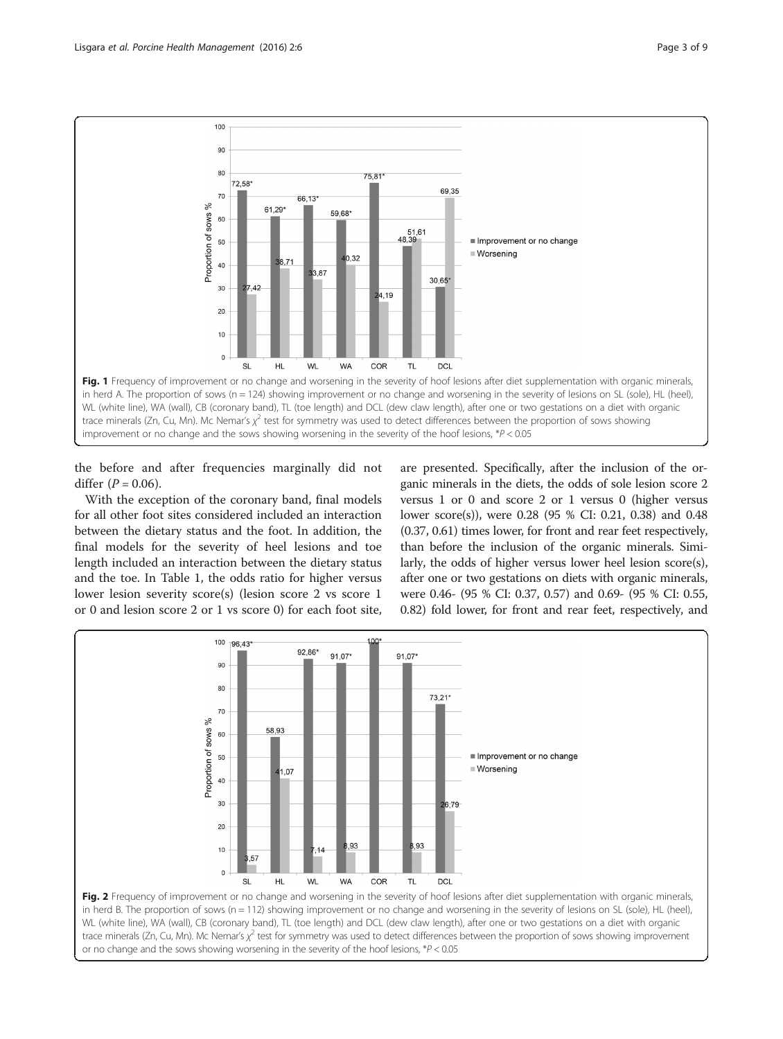

<span id="page-2-0"></span>

the before and after frequencies marginally did not differ ( $P = 0.06$ ).

With the exception of the coronary band, final models for all other foot sites considered included an interaction between the dietary status and the foot. In addition, the final models for the severity of heel lesions and toe length included an interaction between the dietary status and the toe. In Table [1,](#page-3-0) the odds ratio for higher versus lower lesion severity score(s) (lesion score 2 vs score 1 or 0 and lesion score 2 or 1 vs score 0) for each foot site,

are presented. Specifically, after the inclusion of the organic minerals in the diets, the odds of sole lesion score 2 versus 1 or 0 and score 2 or 1 versus 0 (higher versus lower score(s)), were 0.28 (95 % CI: 0.21, 0.38) and 0.48 (0.37, 0.61) times lower, for front and rear feet respectively, than before the inclusion of the organic minerals. Similarly, the odds of higher versus lower heel lesion score(s), after one or two gestations on diets with organic minerals, were 0.46- (95 % CI: 0.37, 0.57) and 0.69- (95 % CI: 0.55, 0.82) fold lower, for front and rear feet, respectively, and



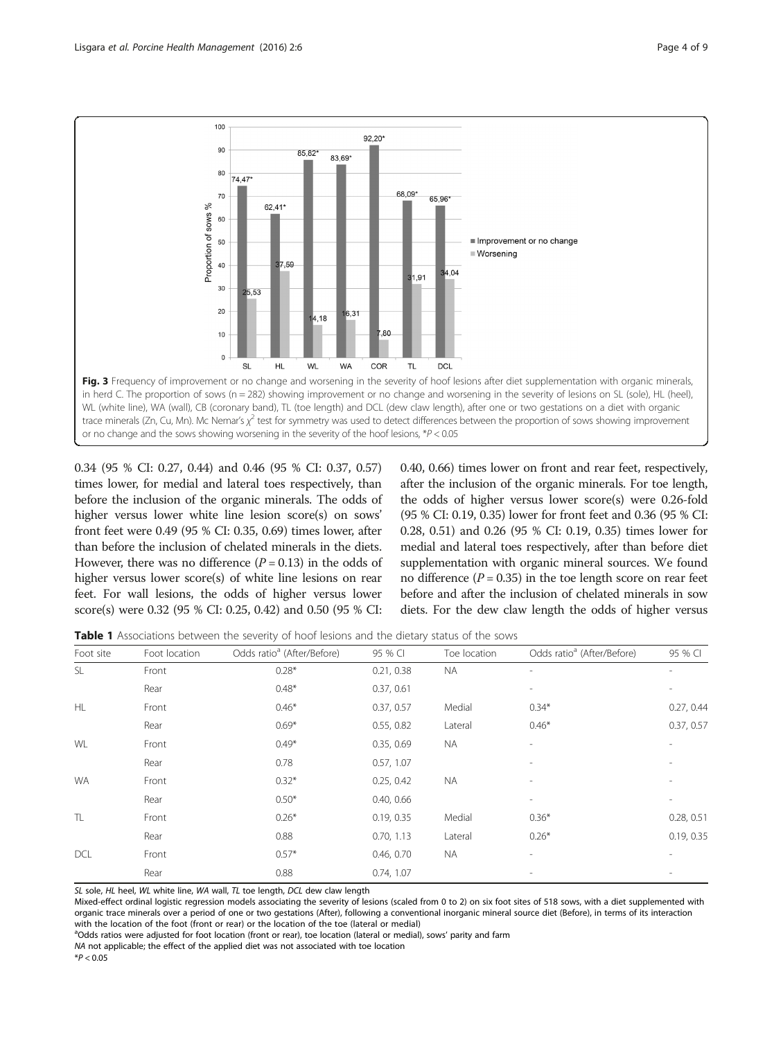<span id="page-3-0"></span>

0.34 (95 % CI: 0.27, 0.44) and 0.46 (95 % CI: 0.37, 0.57) times lower, for medial and lateral toes respectively, than before the inclusion of the organic minerals. The odds of higher versus lower white line lesion score(s) on sows' front feet were 0.49 (95 % CI: 0.35, 0.69) times lower, after than before the inclusion of chelated minerals in the diets. However, there was no difference  $(P = 0.13)$  in the odds of higher versus lower score(s) of white line lesions on rear feet. For wall lesions, the odds of higher versus lower score(s) were 0.32 (95 % CI: 0.25, 0.42) and 0.50 (95 % CI:

0.40, 0.66) times lower on front and rear feet, respectively, after the inclusion of the organic minerals. For toe length, the odds of higher versus lower score(s) were 0.26-fold (95 % CI: 0.19, 0.35) lower for front feet and 0.36 (95 % CI: 0.28, 0.51) and 0.26 (95 % CI: 0.19, 0.35) times lower for medial and lateral toes respectively, after than before diet supplementation with organic mineral sources. We found no difference ( $P = 0.35$ ) in the toe length score on rear feet before and after the inclusion of chelated minerals in sow diets. For the dew claw length the odds of higher versus

Table 1 Associations between the severity of hoof lesions and the dietary status of the sows

| Foot site  | Foot location | Odds ratio <sup>a</sup> (After/Before) | 95 % CI    | Toe location | Odds ratio <sup>a</sup> (After/Before) | 95 % CI                  |
|------------|---------------|----------------------------------------|------------|--------------|----------------------------------------|--------------------------|
| <b>SL</b>  | Front         | $0.28*$                                | 0.21, 0.38 | <b>NA</b>    |                                        |                          |
|            | Rear          | $0.48*$                                | 0.37, 0.61 |              |                                        | $\overline{\phantom{a}}$ |
| <b>HL</b>  | Front         | $0.46*$                                | 0.37, 0.57 | Medial       | $0.34*$                                | 0.27, 0.44               |
|            | Rear          | $0.69*$                                | 0.55, 0.82 | Lateral      | $0.46*$                                | 0.37, 0.57               |
| WL         | Front         | $0.49*$                                | 0.35, 0.69 | <b>NA</b>    | $\sim$                                 | $\overline{\phantom{a}}$ |
|            | Rear          | 0.78                                   | 0.57, 1.07 |              |                                        |                          |
| <b>WA</b>  | Front         | $0.32*$                                | 0.25, 0.42 | <b>NA</b>    |                                        | $\overline{\phantom{a}}$ |
|            | Rear          | $0.50*$                                | 0.40, 0.66 |              | $\overline{\phantom{a}}$               | $\overline{\phantom{a}}$ |
| TL         | Front         | $0.26*$                                | 0.19, 0.35 | Medial       | $0.36*$                                | 0.28, 0.51               |
|            | Rear          | 0.88                                   | 0.70, 1.13 | Lateral      | $0.26*$                                | 0.19, 0.35               |
| <b>DCL</b> | Front         | $0.57*$                                | 0.46, 0.70 | <b>NA</b>    |                                        |                          |
|            | Rear          | 0.88                                   | 0.74, 1.07 |              |                                        |                          |

SL sole, HL heel, WL white line, WA wall, TL toe length, DCL dew claw length

Mixed-effect ordinal logistic regression models associating the severity of lesions (scaled from 0 to 2) on six foot sites of 518 sows, with a diet supplemented with organic trace minerals over a period of one or two gestations (After), following a conventional inorganic mineral source diet (Before), in terms of its interaction with the location of the foot (front or rear) or the location of the toe (lateral or medial)

<sup>a</sup>Odds ratios were adjusted for foot location (front or rear), toe location (lateral or medial), sows' parity and farm

NA not applicable; the effect of the applied diet was not associated with toe location

 $*P < 0.05$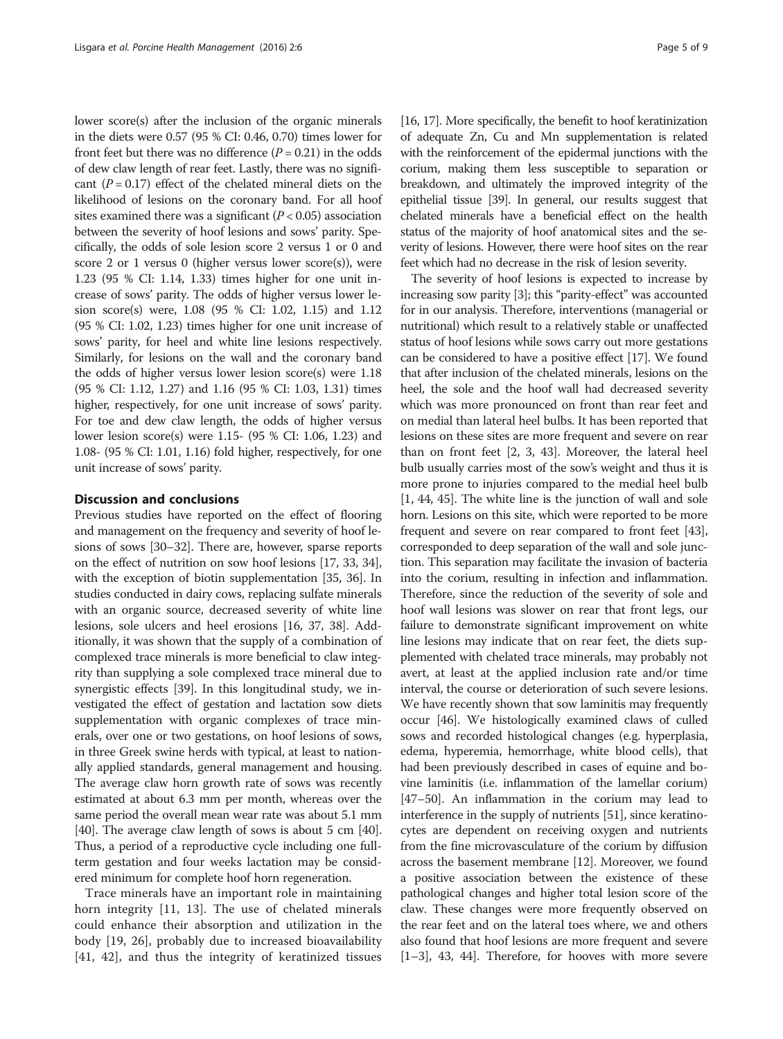lower score(s) after the inclusion of the organic minerals in the diets were 0.57 (95 % CI: 0.46, 0.70) times lower for front feet but there was no difference  $(P = 0.21)$  in the odds of dew claw length of rear feet. Lastly, there was no significant  $(P = 0.17)$  effect of the chelated mineral diets on the likelihood of lesions on the coronary band. For all hoof sites examined there was a significant ( $P < 0.05$ ) association between the severity of hoof lesions and sows' parity. Specifically, the odds of sole lesion score 2 versus 1 or 0 and score 2 or 1 versus 0 (higher versus lower score(s)), were 1.23 (95 % CI: 1.14, 1.33) times higher for one unit increase of sows' parity. The odds of higher versus lower lesion score(s) were, 1.08 (95 % CI: 1.02, 1.15) and 1.12 (95 % CI: 1.02, 1.23) times higher for one unit increase of sows' parity, for heel and white line lesions respectively. Similarly, for lesions on the wall and the coronary band the odds of higher versus lower lesion score(s) were 1.18 (95 % CI: 1.12, 1.27) and 1.16 (95 % CI: 1.03, 1.31) times higher, respectively, for one unit increase of sows' parity. For toe and dew claw length, the odds of higher versus lower lesion score(s) were 1.15- (95 % CI: 1.06, 1.23) and 1.08- (95 % CI: 1.01, 1.16) fold higher, respectively, for one unit increase of sows' parity.

#### Discussion and conclusions

Previous studies have reported on the effect of flooring and management on the frequency and severity of hoof lesions of sows [\[30](#page--1-0)–[32](#page--1-0)]. There are, however, sparse reports on the effect of nutrition on sow hoof lesions [\[17,](#page-7-0) [33, 34](#page--1-0)], with the exception of biotin supplementation [\[35, 36](#page--1-0)]. In studies conducted in dairy cows, replacing sulfate minerals with an organic source, decreased severity of white line lesions, sole ulcers and heel erosions [[16](#page-7-0), [37](#page--1-0), [38](#page--1-0)]. Additionally, it was shown that the supply of a combination of complexed trace minerals is more beneficial to claw integrity than supplying a sole complexed trace mineral due to synergistic effects [\[39\]](#page--1-0). In this longitudinal study, we investigated the effect of gestation and lactation sow diets supplementation with organic complexes of trace minerals, over one or two gestations, on hoof lesions of sows, in three Greek swine herds with typical, at least to nationally applied standards, general management and housing. The average claw horn growth rate of sows was recently estimated at about 6.3 mm per month, whereas over the same period the overall mean wear rate was about 5.1 mm [[40](#page--1-0)]. The average claw length of sows is about 5 cm [40]. Thus, a period of a reproductive cycle including one fullterm gestation and four weeks lactation may be considered minimum for complete hoof horn regeneration.

Trace minerals have an important role in maintaining horn integrity [[11, 13\]](#page-7-0). The use of chelated minerals could enhance their absorption and utilization in the body [[19, 26\]](#page-7-0), probably due to increased bioavailability [[41, 42](#page--1-0)], and thus the integrity of keratinized tissues [[16](#page-7-0), [17](#page-7-0)]. More specifically, the benefit to hoof keratinization of adequate Zn, Cu and Mn supplementation is related with the reinforcement of the epidermal junctions with the corium, making them less susceptible to separation or breakdown, and ultimately the improved integrity of the epithelial tissue [\[39\]](#page--1-0). In general, our results suggest that chelated minerals have a beneficial effect on the health status of the majority of hoof anatomical sites and the severity of lesions. However, there were hoof sites on the rear feet which had no decrease in the risk of lesion severity.

The severity of hoof lesions is expected to increase by increasing sow parity [[3\]](#page-7-0); this "parity-effect" was accounted for in our analysis. Therefore, interventions (managerial or nutritional) which result to a relatively stable or unaffected status of hoof lesions while sows carry out more gestations can be considered to have a positive effect [\[17\]](#page-7-0). We found that after inclusion of the chelated minerals, lesions on the heel, the sole and the hoof wall had decreased severity which was more pronounced on front than rear feet and on medial than lateral heel bulbs. It has been reported that lesions on these sites are more frequent and severe on rear than on front feet [[2](#page-7-0), [3,](#page-7-0) [43](#page--1-0)]. Moreover, the lateral heel bulb usually carries most of the sow's weight and thus it is more prone to injuries compared to the medial heel bulb [[1,](#page-7-0) [44, 45\]](#page--1-0). The white line is the junction of wall and sole horn. Lesions on this site, which were reported to be more frequent and severe on rear compared to front feet [[43](#page--1-0)], corresponded to deep separation of the wall and sole junction. This separation may facilitate the invasion of bacteria into the corium, resulting in infection and inflammation. Therefore, since the reduction of the severity of sole and hoof wall lesions was slower on rear that front legs, our failure to demonstrate significant improvement on white line lesions may indicate that on rear feet, the diets supplemented with chelated trace minerals, may probably not avert, at least at the applied inclusion rate and/or time interval, the course or deterioration of such severe lesions. We have recently shown that sow laminitis may frequently occur [\[46\]](#page--1-0). We histologically examined claws of culled sows and recorded histological changes (e.g. hyperplasia, edema, hyperemia, hemorrhage, white blood cells), that had been previously described in cases of equine and bovine laminitis (i.e. inflammation of the lamellar corium) [[47](#page--1-0)–[50\]](#page--1-0). An inflammation in the corium may lead to interference in the supply of nutrients [[51\]](#page--1-0), since keratinocytes are dependent on receiving oxygen and nutrients from the fine microvasculature of the corium by diffusion across the basement membrane [\[12\]](#page-7-0). Moreover, we found a positive association between the existence of these pathological changes and higher total lesion score of the claw. These changes were more frequently observed on the rear feet and on the lateral toes where, we and others also found that hoof lesions are more frequent and severe [[1](#page-7-0)–[3](#page-7-0)], 43, 44]. Therefore, for hooves with more severe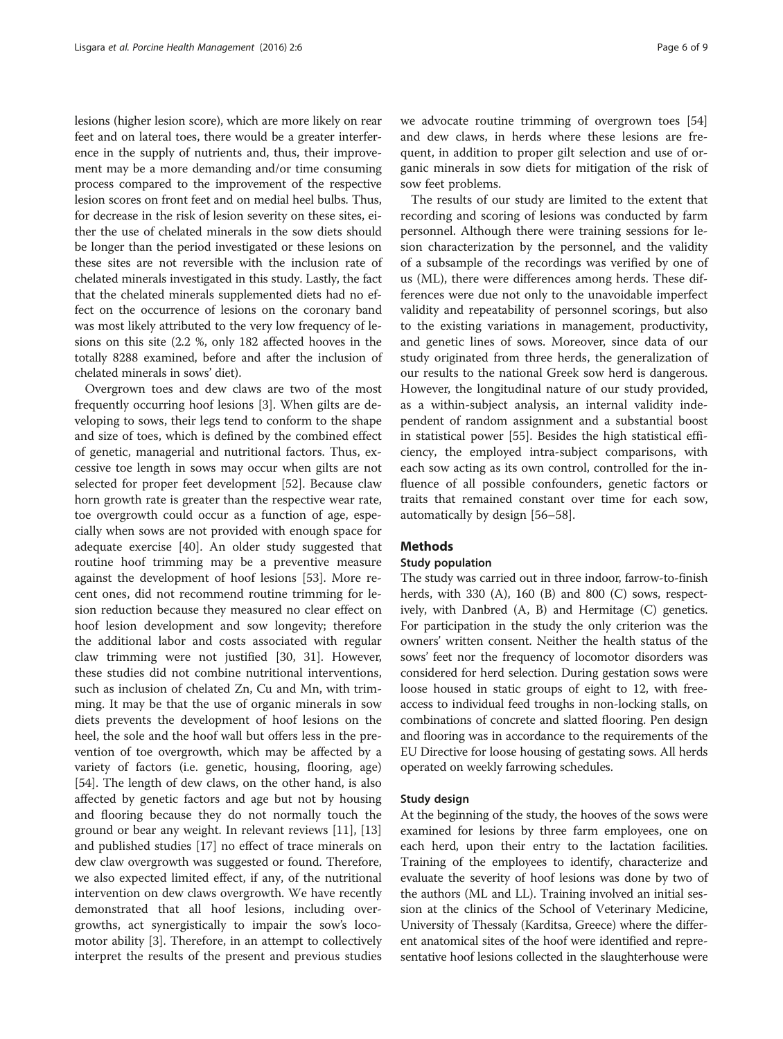lesions (higher lesion score), which are more likely on rear feet and on lateral toes, there would be a greater interference in the supply of nutrients and, thus, their improvement may be a more demanding and/or time consuming process compared to the improvement of the respective lesion scores on front feet and on medial heel bulbs. Thus, for decrease in the risk of lesion severity on these sites, either the use of chelated minerals in the sow diets should be longer than the period investigated or these lesions on these sites are not reversible with the inclusion rate of chelated minerals investigated in this study. Lastly, the fact that the chelated minerals supplemented diets had no effect on the occurrence of lesions on the coronary band was most likely attributed to the very low frequency of lesions on this site (2.2 %, only 182 affected hooves in the totally 8288 examined, before and after the inclusion of chelated minerals in sows' diet).

Overgrown toes and dew claws are two of the most frequently occurring hoof lesions [[3\]](#page-7-0). When gilts are developing to sows, their legs tend to conform to the shape and size of toes, which is defined by the combined effect of genetic, managerial and nutritional factors. Thus, excessive toe length in sows may occur when gilts are not selected for proper feet development [\[52\]](#page--1-0). Because claw horn growth rate is greater than the respective wear rate, toe overgrowth could occur as a function of age, especially when sows are not provided with enough space for adequate exercise [\[40\]](#page--1-0). An older study suggested that routine hoof trimming may be a preventive measure against the development of hoof lesions [\[53\]](#page--1-0). More recent ones, did not recommend routine trimming for lesion reduction because they measured no clear effect on hoof lesion development and sow longevity; therefore the additional labor and costs associated with regular claw trimming were not justified [[30, 31\]](#page--1-0). However, these studies did not combine nutritional interventions, such as inclusion of chelated Zn, Cu and Mn, with trimming. It may be that the use of organic minerals in sow diets prevents the development of hoof lesions on the heel, the sole and the hoof wall but offers less in the prevention of toe overgrowth, which may be affected by a variety of factors (i.e. genetic, housing, flooring, age) [[54\]](#page--1-0). The length of dew claws, on the other hand, is also affected by genetic factors and age but not by housing and flooring because they do not normally touch the ground or bear any weight. In relevant reviews [\[11\]](#page-7-0), [[13](#page-7-0)] and published studies [\[17\]](#page-7-0) no effect of trace minerals on dew claw overgrowth was suggested or found. Therefore, we also expected limited effect, if any, of the nutritional intervention on dew claws overgrowth. We have recently demonstrated that all hoof lesions, including overgrowths, act synergistically to impair the sow's locomotor ability [\[3](#page-7-0)]. Therefore, in an attempt to collectively interpret the results of the present and previous studies we advocate routine trimming of overgrown toes [[54](#page--1-0)] and dew claws, in herds where these lesions are frequent, in addition to proper gilt selection and use of organic minerals in sow diets for mitigation of the risk of sow feet problems.

The results of our study are limited to the extent that recording and scoring of lesions was conducted by farm personnel. Although there were training sessions for lesion characterization by the personnel, and the validity of a subsample of the recordings was verified by one of us (ML), there were differences among herds. These differences were due not only to the unavoidable imperfect validity and repeatability of personnel scorings, but also to the existing variations in management, productivity, and genetic lines of sows. Moreover, since data of our study originated from three herds, the generalization of our results to the national Greek sow herd is dangerous. However, the longitudinal nature of our study provided, as a within-subject analysis, an internal validity independent of random assignment and a substantial boost in statistical power [\[55\]](#page--1-0). Besides the high statistical efficiency, the employed intra-subject comparisons, with each sow acting as its own control, controlled for the influence of all possible confounders, genetic factors or traits that remained constant over time for each sow, automatically by design [[56](#page--1-0)–[58](#page--1-0)].

#### Methods

#### Study population

The study was carried out in three indoor, farrow-to-finish herds, with 330 (A), 160 (B) and 800 (C) sows, respectively, with Danbred (A, B) and Hermitage (C) genetics. For participation in the study the only criterion was the owners' written consent. Neither the health status of the sows' feet nor the frequency of locomotor disorders was considered for herd selection. During gestation sows were loose housed in static groups of eight to 12, with freeaccess to individual feed troughs in non-locking stalls, on combinations of concrete and slatted flooring. Pen design and flooring was in accordance to the requirements of the EU Directive for loose housing of gestating sows. All herds operated on weekly farrowing schedules.

#### Study design

At the beginning of the study, the hooves of the sows were examined for lesions by three farm employees, one on each herd, upon their entry to the lactation facilities. Training of the employees to identify, characterize and evaluate the severity of hoof lesions was done by two of the authors (ML and LL). Training involved an initial session at the clinics of the School of Veterinary Medicine, University of Thessaly (Karditsa, Greece) where the different anatomical sites of the hoof were identified and representative hoof lesions collected in the slaughterhouse were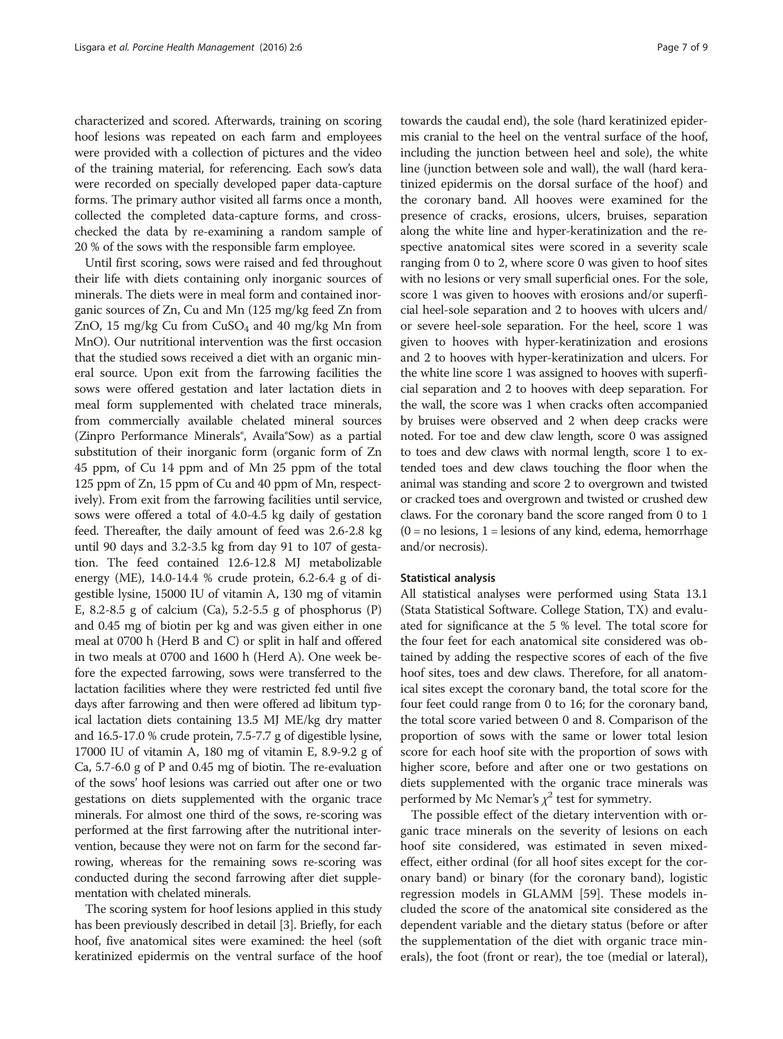characterized and scored. Afterwards, training on scoring hoof lesions was repeated on each farm and employees were provided with a collection of pictures and the video of the training material, for referencing. Each sow's data were recorded on specially developed paper data-capture forms. The primary author visited all farms once a month, collected the completed data-capture forms, and crosschecked the data by re-examining a random sample of 20 % of the sows with the responsible farm employee.

Until first scoring, sows were raised and fed throughout their life with diets containing only inorganic sources of minerals. The diets were in meal form and contained inorganic sources of Zn, Cu and Mn (125 mg/kg feed Zn from ZnO, 15 mg/kg Cu from  $CuSO<sub>4</sub>$  and 40 mg/kg Mn from MnO). Our nutritional intervention was the first occasion that the studied sows received a diet with an organic mineral source. Upon exit from the farrowing facilities the sows were offered gestation and later lactation diets in meal form supplemented with chelated trace minerals, from commercially available chelated mineral sources (Zinpro Performance Minerals®, Availa®Sow) as a partial substitution of their inorganic form (organic form of Zn 45 ppm, of Cu 14 ppm and of Mn 25 ppm of the total 125 ppm of Zn, 15 ppm of Cu and 40 ppm of Mn, respectively). From exit from the farrowing facilities until service, sows were offered a total of 4.0-4.5 kg daily of gestation feed. Thereafter, the daily amount of feed was 2.6-2.8 kg until 90 days and 3.2-3.5 kg from day 91 to 107 of gestation. The feed contained 12.6-12.8 MJ metabolizable energy (ME), 14.0-14.4 % crude protein, 6.2-6.4 g of digestible lysine, 15000 IU of vitamin A, 130 mg of vitamin E, 8.2-8.5 g of calcium (Ca), 5.2-5.5 g of phosphorus  $(P)$ and 0.45 mg of biotin per kg and was given either in one meal at 0700 h (Herd B and C) or split in half and offered in two meals at 0700 and 1600 h (Herd A). One week before the expected farrowing, sows were transferred to the lactation facilities where they were restricted fed until five days after farrowing and then were offered ad libitum typical lactation diets containing 13.5 MJ ME/kg dry matter and 16.5-17.0 % crude protein, 7.5-7.7 g of digestible lysine, 17000 IU of vitamin A, 180 mg of vitamin E, 8.9-9.2 g of Ca, 5.7-6.0 g of P and 0.45 mg of biotin. The re-evaluation of the sows' hoof lesions was carried out after one or two gestations on diets supplemented with the organic trace minerals. For almost one third of the sows, re-scoring was performed at the first farrowing after the nutritional intervention, because they were not on farm for the second farrowing, whereas for the remaining sows re-scoring was conducted during the second farrowing after diet supplementation with chelated minerals.

The scoring system for hoof lesions applied in this study has been previously described in detail [[3](#page-7-0)]. Briefly, for each hoof, five anatomical sites were examined: the heel (soft keratinized epidermis on the ventral surface of the hoof towards the caudal end), the sole (hard keratinized epidermis cranial to the heel on the ventral surface of the hoof, including the junction between heel and sole), the white line (junction between sole and wall), the wall (hard keratinized epidermis on the dorsal surface of the hoof) and the coronary band. All hooves were examined for the presence of cracks, erosions, ulcers, bruises, separation along the white line and hyper-keratinization and the respective anatomical sites were scored in a severity scale ranging from 0 to 2, where score 0 was given to hoof sites with no lesions or very small superficial ones. For the sole, score 1 was given to hooves with erosions and/or superficial heel-sole separation and 2 to hooves with ulcers and/ or severe heel-sole separation. For the heel, score 1 was given to hooves with hyper-keratinization and erosions and 2 to hooves with hyper-keratinization and ulcers. For the white line score 1 was assigned to hooves with superficial separation and 2 to hooves with deep separation. For the wall, the score was 1 when cracks often accompanied by bruises were observed and 2 when deep cracks were noted. For toe and dew claw length, score 0 was assigned to toes and dew claws with normal length, score 1 to extended toes and dew claws touching the floor when the animal was standing and score 2 to overgrown and twisted or cracked toes and overgrown and twisted or crushed dew claws. For the coronary band the score ranged from 0 to 1  $(0 = no$  lesions,  $1 =$  lesions of any kind, edema, hemorrhage and/or necrosis).

#### Statistical analysis

All statistical analyses were performed using Stata 13.1 (Stata Statistical Software. College Station, TX) and evaluated for significance at the 5 % level. The total score for the four feet for each anatomical site considered was obtained by adding the respective scores of each of the five hoof sites, toes and dew claws. Therefore, for all anatomical sites except the coronary band, the total score for the four feet could range from 0 to 16; for the coronary band, the total score varied between 0 and 8. Comparison of the proportion of sows with the same or lower total lesion score for each hoof site with the proportion of sows with higher score, before and after one or two gestations on diets supplemented with the organic trace minerals was performed by Mc Nemar's  $\chi^2$  test for symmetry.

The possible effect of the dietary intervention with organic trace minerals on the severity of lesions on each hoof site considered, was estimated in seven mixedeffect, either ordinal (for all hoof sites except for the coronary band) or binary (for the coronary band), logistic regression models in GLAMM [\[59\]](#page--1-0). These models included the score of the anatomical site considered as the dependent variable and the dietary status (before or after the supplementation of the diet with organic trace minerals), the foot (front or rear), the toe (medial or lateral),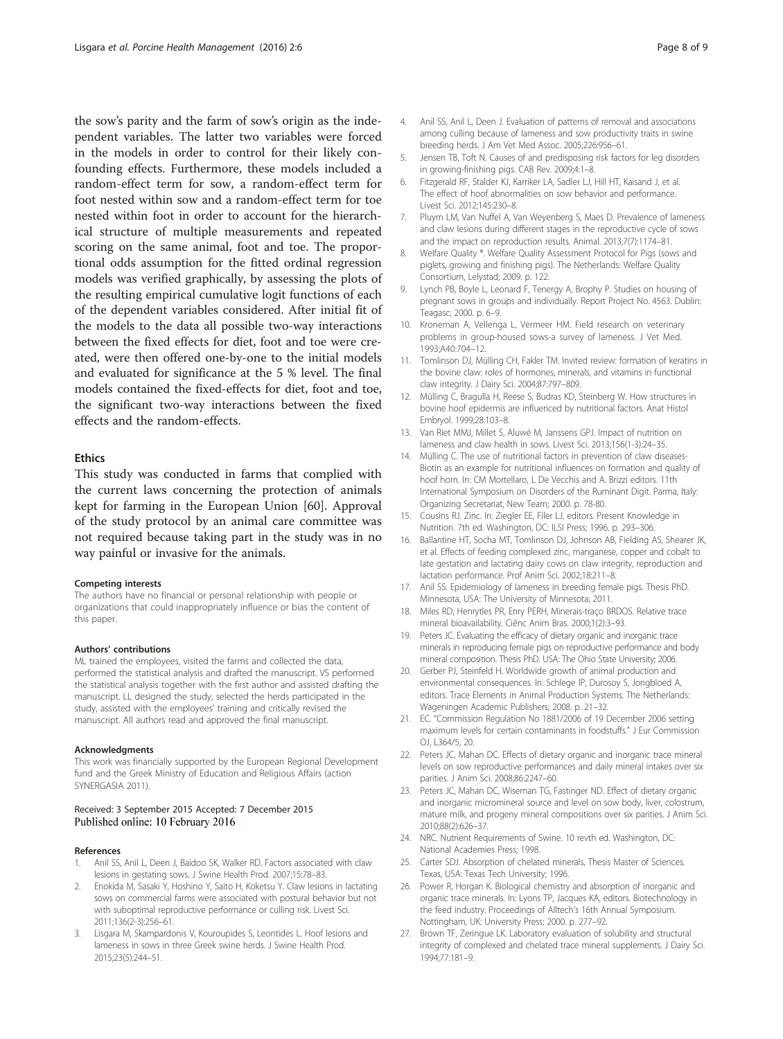<span id="page-7-0"></span>the sow's parity and the farm of sow's origin as the independent variables. The latter two variables were forced in the models in order to control for their likely confounding effects. Furthermore, these models included a random-effect term for sow, a random-effect term for foot nested within sow and a random-effect term for toe nested within foot in order to account for the hierarchical structure of multiple measurements and repeated scoring on the same animal, foot and toe. The proportional odds assumption for the fitted ordinal regression models was verified graphically, by assessing the plots of the resulting empirical cumulative logit functions of each of the dependent variables considered. After initial fit of the models to the data all possible two-way interactions between the fixed effects for diet, foot and toe were created, were then offered one-by-one to the initial models and evaluated for significance at the 5 % level. The final models contained the fixed-effects for diet, foot and toe, the significant two-way interactions between the fixed effects and the random-effects.

#### Ethics

This study was conducted in farms that complied with the current laws concerning the protection of animals kept for farming in the European Union [[60\]](#page--1-0). Approval of the study protocol by an animal care committee was not required because taking part in the study was in no way painful or invasive for the animals.

#### Competing interests

The authors have no financial or personal relationship with people or organizations that could inappropriately influence or bias the content of this paper.

#### Authors' contributions

ML trained the employees, visited the farms and collected the data, performed the statistical analysis and drafted the manuscript. VS performed the statistical analysis together with the first author and assisted drafting the manuscript. LL designed the study, selected the herds participated in the study, assisted with the employees' training and critically revised the manuscript. All authors read and approved the final manuscript.

#### Acknowledgments

This work was financially supported by the European Regional Development fund and the Greek Ministry of Education and Religious Affairs (action SYNERGASIA 2011).

#### Received: 3 September 2015 Accepted: 7 December 2015 Published online: 10 February 2016

#### References

- 1. Anil SS, Anil L, Deen J, Baidoo SK, Walker RD. Factors associated with claw lesions in gestating sows. J Swine Health Prod. 2007;15:78–83.
- 2. Enokida M, Sasaki Y, Hoshino Y, Saito H, Koketsu Y. Claw lesions in lactating sows on commercial farms were associated with postural behavior but not with suboptimal reproductive performance or culling risk. Livest Sci. 2011;136(2-3):256–61.
- Lisgara M, Skampardonis V, Kouroupides S, Leontides L. Hoof lesions and lameness in sows in three Greek swine herds. J Swine Health Prod. 2015;23(5):244–51.
- 4. Anil SS, Anil L, Deen J. Evaluation of patterns of removal and associations among culling because of lameness and sow productivity traits in swine breeding herds. J Am Vet Med Assoc. 2005;226:956–61.
- 5. Jensen TB, Toft N. Causes of and predisposing risk factors for leg disorders in growing-finishing pigs. CAB Rev. 2009;4:1–8.
- 6. Fitzgerald RF, Stalder KJ, Karriker LA, Sadler LJ, Hill HT, Kaisand J, et al. The effect of hoof abnormalities on sow behavior and performance. Livest Sci. 2012;145:230–8.
- 7. Pluym LM, Van Nuffel A, Van Weyenberg S, Maes D. Prevalence of lameness and claw lesions during different stages in the reproductive cycle of sows and the impact on reproduction results. Animal. 2013;7(7):1174–81.
- 8. Welfare Quality ®. Welfare Quality Assessment Protocol for Pigs (sows and piglets, growing and finishing pigs). The Netherlands: Welfare Quality Consortium, Lelystad; 2009. p. 122.
- 9. Lynch PB, Boyle L, Leonard F, Tenergy A, Brophy P. Studies on housing of pregnant sows in groups and individually. Report Project No. 4563. Dublin: Teagasc; 2000. p. 6–9.
- 10. Kroneman A, Vellenga L, Vermeer HM. Field research on veterinary problems in group-housed sows-a survey of lameness. J Vet Med. 1993;A40:704–12.
- 11. Tomlinson DJ, Mülling CH, Fakler TM. Invited review: formation of keratins in the bovine claw: roles of hormones, minerals, and vitamins in functional claw integrity. J Dairy Sci. 2004;87:797–809.
- 12. Mülling C, Bragulla H, Reese S, Budras KD, Steinberg W. How structures in bovine hoof epidermis are influenced by nutritional factors. Anat Histol Embryol. 1999;28:103–8.
- 13. Van Riet MMJ, Millet S, Aluwé M, Janssens GPJ. Impact of nutrition on lameness and claw health in sows. Livest Sci. 2013;156(1-3):24–35.
- 14. Mülling C. The use of nutritional factors in prevention of claw diseases-Biotin as an example for nutritional influences on formation and quality of hoof horn. In: CM Mortellaro, L De Vecchis and A. Brizzi editors. 11th International Symposium on Disorders of the Ruminant Digit. Parma, Italy: Organizing Secretariat, New Team; 2000. p. 78-80.
- 15. Cousins RJ. Zinc. In: Ziegler EE, Filer LJ, editors. Present Knowledge in Nutrition. 7th ed. Washington, DC: ILSI Press; 1996. p. 293–306.
- 16. Ballantine HT, Socha MT, Tomlinson DJ, Johnson AB, Fielding AS, Shearer JK, et al. Effects of feeding complexed zinc, manganese, copper and cobalt to late gestation and lactating dairy cows on claw integrity, reproduction and lactation performance. Prof Anim Sci. 2002;18:211–8.
- 17. Anil SS. Epidemiology of lameness in breeding female pigs. Thesis PhD. Minnesota, USA: The University of Minnesota; 2011.
- 18. Miles RD, Henrytles PR, Enry PERH, Minerais-traço BRDOS. Relative trace mineral bioavailability. Ciênc Anim Bras. 2000;1(2):3–93.
- 19. Peters JC. Evaluating the efficacy of dietary organic and inorganic trace minerals in reproducing female pigs on reproductive performance and body mineral composition. Thesis PhD. USA: The Ohio State University; 2006.
- 20. Gerber PJ, Steinfeld H. Worldwide growth of animal production and environmental consequences. In: Schlege lP, Durosoy S, Jongbloed A, editors. Trace Elements in Animal Production Systems. The Netherlands: Wageningen Academic Publishers; 2008. p. 21–32.
- 21. EC. "Commission Regulation No 1881/2006 of 19 December 2006 setting maximum levels for certain contaminants in foodstuffs." J Eur Commission OJ, L364/5, 20.
- 22. Peters JC, Mahan DC. Effects of dietary organic and inorganic trace mineral levels on sow reproductive performances and daily mineral intakes over six parities. J Anim Sci. 2008;86:2247–60.
- 23. Peters JC, Mahan DC, Wiseman TG, Fastinger ND. Effect of dietary organic and inorganic micromineral source and level on sow body, liver, colostrum, mature milk, and progeny mineral compositions over six parities. J Anim Sci. 2010;88(2):626–37.
- 24. NRC. Nutrient Requirements of Swine. 10 revth ed. Washington, DC: National Academies Press; 1998.
- 25. Carter SDJ. Absorption of chelated minerals, Thesis Master of Sciences. Texas, USA: Texas Tech University; 1996.
- 26. Power R, Horgan K. Biological chemistry and absorption of inorganic and organic trace minerals. In: Lyons TP, Jacques KA, editors. Biotechnology in the feed industry. Proceedings of Alltech's 16th Annual Symposium. Nottingham, UK: University Press; 2000. p. 277–92.
- 27. Brown TF, Zeringue LK. Laboratory evaluation of solubility and structural integrity of complexed and chelated trace mineral supplements. J Dairy Sci. 1994;77:181–9.